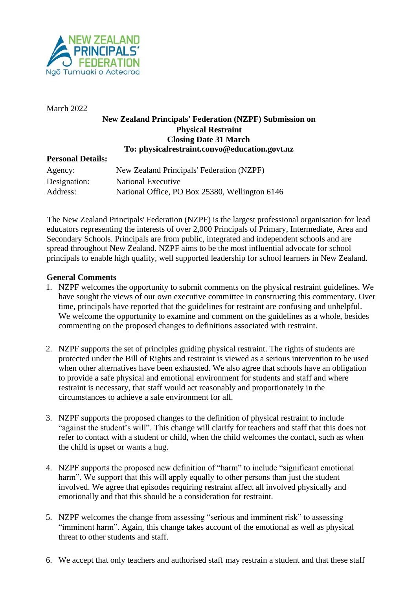

March 2022

## **New Zealand Principals' Federation (NZPF) Submission on Physical Restraint Closing Date 31 March To: physicalrestraint.convo@education.govt.nz**

## **Personal Details:**

| Agency:      | New Zealand Principals' Federation (NZPF)      |
|--------------|------------------------------------------------|
| Designation: | National Executive                             |
| Address:     | National Office, PO Box 25380, Wellington 6146 |

The New Zealand Principals' Federation (NZPF) is the largest professional organisation for lead educators representing the interests of over 2,000 Principals of Primary, Intermediate, Area and Secondary Schools. Principals are from public, integrated and independent schools and are spread throughout New Zealand. NZPF aims to be the most influential advocate for school principals to enable high quality, well supported leadership for school learners in New Zealand.

## **General Comments**

- 1. NZPF welcomes the opportunity to submit comments on the physical restraint guidelines. We have sought the views of our own executive committee in constructing this commentary. Over time, principals have reported that the guidelines for restraint are confusing and unhelpful. We welcome the opportunity to examine and comment on the guidelines as a whole, besides commenting on the proposed changes to definitions associated with restraint.
- 2. NZPF supports the set of principles guiding physical restraint. The rights of students are protected under the Bill of Rights and restraint is viewed as a serious intervention to be used when other alternatives have been exhausted. We also agree that schools have an obligation to provide a safe physical and emotional environment for students and staff and where restraint is necessary, that staff would act reasonably and proportionately in the circumstances to achieve a safe environment for all.
- 3. NZPF supports the proposed changes to the definition of physical restraint to include "against the student's will". This change will clarify for teachers and staff that this does not refer to contact with a student or child, when the child welcomes the contact, such as when the child is upset or wants a hug.
- 4. NZPF supports the proposed new definition of "harm" to include "significant emotional harm". We support that this will apply equally to other persons than just the student involved. We agree that episodes requiring restraint affect all involved physically and emotionally and that this should be a consideration for restraint.
- 5. NZPF welcomes the change from assessing "serious and imminent risk" to assessing "imminent harm". Again, this change takes account of the emotional as well as physical threat to other students and staff.
- 6. We accept that only teachers and authorised staff may restrain a student and that these staff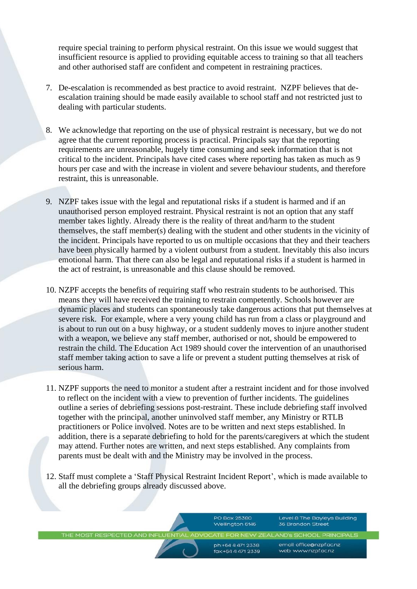require special training to perform physical restraint. On this issue we would suggest that insufficient resource is applied to providing equitable access to training so that all teachers and other authorised staff are confident and competent in restraining practices.

- 7. De-escalation is recommended as best practice to avoid restraint. NZPF believes that deescalation training should be made easily available to school staff and not restricted just to dealing with particular students.
- 8. We acknowledge that reporting on the use of physical restraint is necessary, but we do not agree that the current reporting process is practical. Principals say that the reporting requirements are unreasonable, hugely time consuming and seek information that is not critical to the incident. Principals have cited cases where reporting has taken as much as 9 hours per case and with the increase in violent and severe behaviour students, and therefore restraint, this is unreasonable.
- 9. NZPF takes issue with the legal and reputational risks if a student is harmed and if an unauthorised person employed restraint. Physical restraint is not an option that any staff member takes lightly. Already there is the reality of threat and/harm to the student themselves, the staff member(s) dealing with the student and other students in the vicinity of the incident. Principals have reported to us on multiple occasions that they and their teachers have been physically harmed by a violent outburst from a student. Inevitably this also incurs emotional harm. That there can also be legal and reputational risks if a student is harmed in the act of restraint, is unreasonable and this clause should be removed.
- 10. NZPF accepts the benefits of requiring staff who restrain students to be authorised. This means they will have received the training to restrain competently. Schools however are dynamic places and students can spontaneously take dangerous actions that put themselves at severe risk. For example, where a very young child has run from a class or playground and is about to run out on a busy highway, or a student suddenly moves to injure another student with a weapon, we believe any staff member, authorised or not, should be empowered to restrain the child. The Education Act 1989 should cover the intervention of an unauthorised staff member taking action to save a life or prevent a student putting themselves at risk of serious harm.
- 11. NZPF supports the need to monitor a student after a restraint incident and for those involved to reflect on the incident with a view to prevention of further incidents. The guidelines outline a series of debriefing sessions post-restraint. These include debriefing staff involved together with the principal, another uninvolved staff member, any Ministry or RTLB practitioners or Police involved. Notes are to be written and next steps established. In addition, there is a separate debriefing to hold for the parents/caregivers at which the student may attend. Further notes are written, and next steps established. Any complaints from parents must be dealt with and the Ministry may be involved in the process.
- 12. Staff must complete a 'Staff Physical Restraint Incident Report', which is made available to all the debriefing groups already discussed above.

PO Box 25380 Wellington 6146 Level 8 The Bayleys Building 36 Brandon Street

THE MOST RESPECTED AND INFLU AND'S SCHOOL PRINCIPALS

> ph:+64 4 471 2338 fax:+64 4 471 2339

email: office@nzpf.ac.nz web: www.nzpf.gc.nz